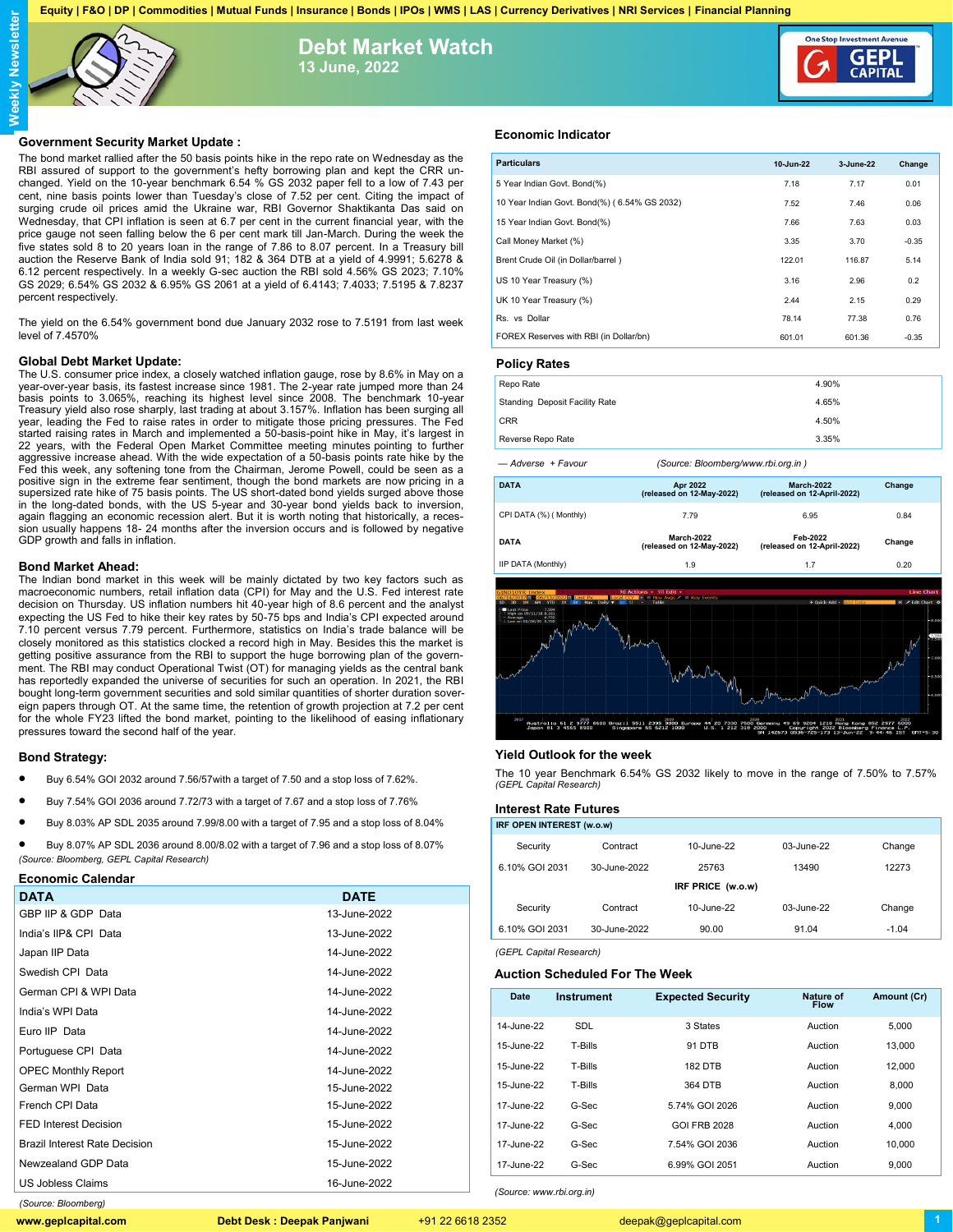**Equity | F&O | DP | Commodities | Mutual Funds | Insurance | Bonds | IPOs | WMS | LAS | Currency Derivatives | NRI Services | Financial Planning**



**Debt Market Watch 13 June, 2022**



## **Government Security Market Update :**

The bond market rallied after the 50 basis points hike in the repo rate on Wednesday as the RBI assured of support to the government's hefty borrowing plan and kept the CRR unchanged. Yield on the 10-year benchmark 6.54 % GS 2032 paper fell to a low of 7.43 per cent, nine basis points lower than Tuesday's close of 7.52 per cent. Citing the impact of surging crude oil prices amid the Ukraine war, RBI Governor Shaktikanta Das said on Wednesday, that CPI inflation is seen at 6.7 per cent in the current financial year, with the price gauge not seen falling below the 6 per cent mark till Jan-March. During the week the five states sold 8 to 20 years loan in the range of 7.86 to 8.07 percent. In a Treasury bill auction the Reserve Bank of India sold 91; 182 & 364 DTB at a yield of 4.9991; 5.6278 & 6.12 percent respectively. In a weekly G-sec auction the RBI sold 4.56% GS 2023; 7.10% GS 2029; 6.54% GS 2032 & 6.95% GS 2061 at a yield of 6.4143; 7.4033; 7.5195 & 7.8237 percent respectively.

The yield on the 6.54% government bond due January 2032 rose to 7.5191 from last week level of 7.4570%

### **Global Debt Market Update:**

The U.S. consumer price index, a closely watched inflation gauge, rose by 8.6% in May on a year-over-year basis, its fastest increase since 1981. The 2-year rate jumped more than 24 basis points to 3.065%, reaching its highest level since 2008. The benchmark 10-year Treasury yield also rose sharply, last trading at about 3.157%. Inflation has been surging all year, leading the Fed to raise rates in order to mitigate those pricing pressures. The Fed started raising rates in March and implemented a 50-basis-point hike in May, it's largest in 22 years, with the Federal Open Market Committee meeting minutes pointing to further aggressive increase ahead. With the wide expectation of a 50-basis points rate hike by the Fed this week, any softening tone from the Chairman, Jerome Powell, could be seen as a<br>positive sign in the extreme fear sentiment, though the bond markets are now pricing in a<br>supersized rate hike of 75 basis points. The in the long-dated bonds, with the US 5-year and 30-year bond yields back to inversion, again flagging an economic recession alert. But it is worth noting that historically, a recession usually happens 18- 24 months after the inversion occurs and is followed by negative GDP growth and falls in inflation.

## **Bond Market Ahead:**

The Indian bond market in this week will be mainly dictated by two key factors such as macroeconomic numbers, retail inflation data (CPI) for May and the U.S. Fed interest rate decision on Thursday. US inflation numbers hit 40-year high of 8.6 percent and the analyst expecting the US Fed to hike their key rates by 50-75 bps and India's CPI expected around 7.10 percent versus 7.79 percent. Furthermore, statistics on India's trade balance will be closely monitored as this statistics clocked a record high in May. Besides this the market is getting positive assurance from the RBI to support the huge borrowing plan of the government. The RBI may conduct Operational Twist (OT) for managing yields as the central bank has reportedly expanded the universe of securities for such an operation. In 2021, the RBI bought long-term government securities and sold similar quantities of shorter duration sovereign papers through OT. At the same time, the retention of growth projection at 7.2 per cent for the whole FY23 lifted the bond market, pointing to the likelihood of easing inflationary pressures toward the second half of the year.

## **Bond Strategy:**

- Buy 6.54% GOI 2032 around 7.56/57with a target of 7.50 and a stop loss of 7.62%.
- Buy 7.54% GOI 2036 around 7.72/73 with a target of 7.67 and a stop loss of 7.76%
- Buy 8.03% AP SDL 2035 around 7.99/8.00 with a target of 7.95 and a stop loss of 8.04%

 Buy 8.07% AP SDL 2036 around 8.00/8.02 with a target of 7.96 and a stop loss of 8.07% *(Source: Bloomberg, GEPL Capital Research)*

#### **Economic Calendar**

| <b>DATA</b>                          | <b>DATE</b>  |
|--------------------------------------|--------------|
| GBP IIP & GDP Data                   | 13-June-2022 |
| India's IIP& CPI Data                | 13-June-2022 |
| Japan IIP Data                       | 14-June-2022 |
| Swedish CPI Data                     | 14-June-2022 |
| German CPI & WPI Data                | 14-June-2022 |
| India's WPI Data                     | 14-June-2022 |
| Euro IIP Data                        | 14-June-2022 |
| Portuguese CPI Data                  | 14-June-2022 |
| <b>OPEC Monthly Report</b>           | 14-June-2022 |
| German WPI Data                      | 15-June-2022 |
| French CPI Data                      | 15-June-2022 |
| <b>FED Interest Decision</b>         | 15-June-2022 |
| <b>Brazil Interest Rate Decision</b> | 15-June-2022 |
| Newzealand GDP Data                  | 15-June-2022 |
| <b>US Jobless Claims</b>             | 16-June-2022 |
|                                      |              |

# **Economic Indicator**

| <b>Particulars</b>                           | $10 - Jun-22$ | $3 - June - 22$ | Change  |
|----------------------------------------------|---------------|-----------------|---------|
| 5 Year Indian Govt. Bond(%)                  | 7.18          | 7.17            | 0.01    |
| 10 Year Indian Govt. Bond(%) (6.54% GS 2032) | 7.52          | 7.46            | 0.06    |
| 15 Year Indian Govt. Bond(%)                 | 7.66          | 7.63            | 0.03    |
| Call Money Market (%)                        | 3.35          | 3.70            | $-0.35$ |
| Brent Crude Oil (in Dollar/barrel)           | 122.01        | 116.87          | 5.14    |
| US 10 Year Treasury (%)                      | 3.16          | 2.96            | 0.2     |
| UK 10 Year Treasury (%)                      | 2.44          | 2.15            | 0.29    |
| Rs. vs Dollar                                | 78.14         | 77.38           | 0.76    |
| FOREX Reserves with RBI (in Dollar/bn)       | 601.01        | 601.36          | $-0.35$ |

### **Policy Rates**

| Repo Rate                             | 4.90% |
|---------------------------------------|-------|
| <b>Standing Deposit Facility Rate</b> | 4.65% |
| <b>CRR</b>                            | 4.50% |
| Reverse Repo Rate                     | 3.35% |

*— Adverse + Favour (Source: Bloomberg/www.rbi.org.in )*

| <b>DATA</b>            | <b>Apr 2022</b><br>(released on 12-May-2022) | <b>March-2022</b><br>(released on 12-April-2022) | Change |
|------------------------|----------------------------------------------|--------------------------------------------------|--------|
| CPI DATA (%) (Monthly) | 7.79                                         | 6.95                                             | 0.84   |
| <b>DATA</b>            | March-2022<br>(released on 12-Mav-2022)      | Feb-2022<br>(released on 12-April-2022)          | Change |
| IIP DATA (Monthly)     | 1.9                                          | 1.7                                              | 0.20   |



## **Yield Outlook for the week**

The 10 year Benchmark 6.54% GS 2032 likely to move in the range of 7.50% to 7.57% *(GEPL Capital Research)*

## **Interest Rate Futures**

| <b>IRF OPEN INTEREST (w.o.w)</b> |              |                   |                         |         |  |
|----------------------------------|--------------|-------------------|-------------------------|---------|--|
| Security                         | Contract     | 10-June-22        | $03 - \text{line} - 22$ | Change  |  |
| 6.10% GOI 2031                   | 30-June-2022 | 25763             | 13490                   | 12273   |  |
|                                  |              | IRF PRICE (w.o.w) |                         |         |  |
| Security                         | Contract     | 10-June-22        | 03-June-22              | Change  |  |
| 6.10% GOI 2031                   | 30-June-2022 | 90.00             | 91.04                   | $-1.04$ |  |

*(GEPL Capital Research)*

*(Source: www.rbi.org.in)*

# **Auction Scheduled For The Week**

| Date       | <b>Instrument</b> | <b>Expected Security</b> | Nature of<br><b>Flow</b> | Amount (Cr) |
|------------|-------------------|--------------------------|--------------------------|-------------|
| 14-June-22 | SDL               | 3 States                 | Auction                  | 5.000       |
| 15-June-22 | T-Bills           | 91 DTB                   | Auction                  | 13.000      |
| 15-June-22 | T-Bills           | <b>182 DTB</b>           | Auction                  | 12.000      |
| 15-June-22 | T-Bills           | 364 DTB                  | Auction                  | 8.000       |
| 17-June-22 | G-Sec             | 5.74% GOI 2026           | Auction                  | 9.000       |
| 17-June-22 | G-Sec             | <b>GOI FRB 2028</b>      | Auction                  | 4.000       |
| 17-June-22 | G-Sec             | 7.54% GOI 2036           | Auction                  | 10.000      |
| 17-June-22 | G-Sec             | 6.99% GOI 2051           | Auction                  | 9.000       |

*(Source: Bloomberg)*

**www.geplcapital.com Debt Desk : Deepak Panjwani** +91 22 6618 2352 deepak@geplcapital.com